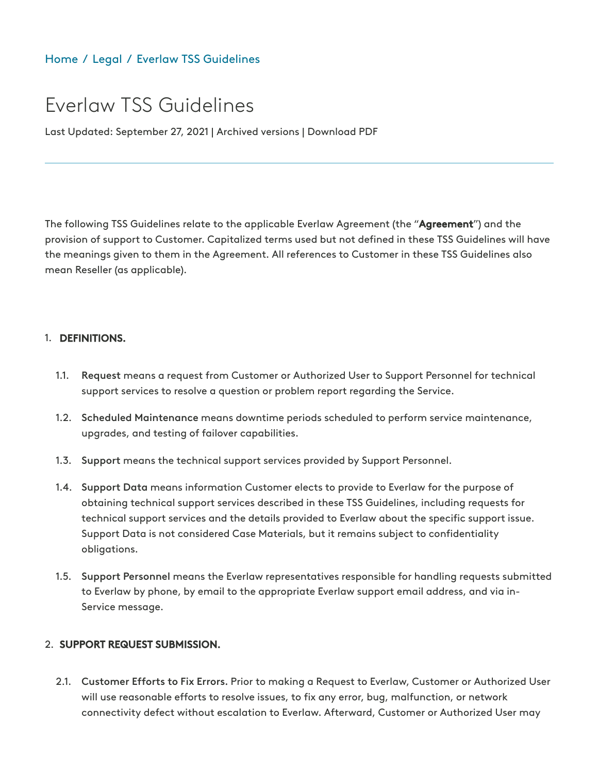# [Home](https://www.everlaw.com/) / [Legal](https://www.everlaw.com/legal-overview) / Everlaw TSS [Guidelines](https://www.everlaw.com/legal/everlaw-tss-guidelines/)

# Everlaw TSS Guidelines

Last Updated: September 27, 2021 | Archived versions | Download PDF

The following TSS Guidelines relate to the applicable Everlaw Agreement (the "Agreement") and the provision of support to Customer. Capitalized terms used but not defined in these TSS Guidelines will have the meanings given to them in the Agreement. All references to Customer in these TSS Guidelines also mean Reseller (as applicable).

#### 1. DEFINITIONS.

- Request means a request from Customer or Authorized User to Support Personnel for technical support services to resolve a question or problem report regarding the Service. 1.1.
- 1.2. Scheduled Maintenance means downtime periods scheduled to perform service maintenance, upgrades, and testing of failover capabilities.
- 1.3. Support means the technical support services provided by Support Personnel.
- 1.4. Support Data means information Customer elects to provide to Everlaw for the purpose of obtaining technical support services described in these TSS Guidelines, including requests for technical support services and the details provided to Everlaw about the specific support issue. Support Data is not considered Case Materials, but it remains subject to confidentiality obligations.
- 1.5. Support Personnel means the Everlaw representatives responsible for handling requests submitted to Everlaw by phone, by email to the appropriate Everlaw support email address, and via in-Service message.

#### 2. SUPPORT REQUEST SUBMISSION.

2.1. Customer Efforts to Fix Errors. Prior to making a Request to Everlaw, Customer or Authorized User will use reasonable efforts to resolve issues, to fix any error, bug, malfunction, or network connectivity defect without escalation to Everlaw. Afterward, Customer or Authorized User may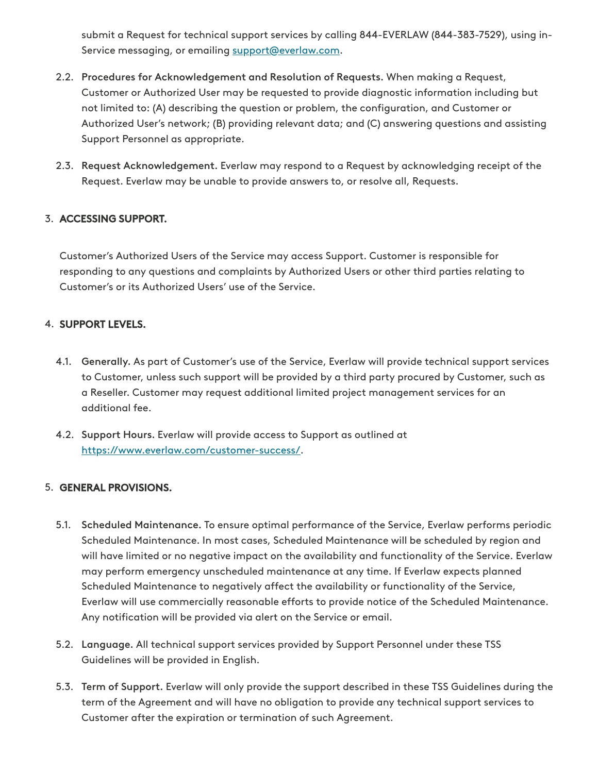submit a Request for technical support services by calling 844-EVERLAW (844-383-7529), using inService messaging, or emailing [support@everlaw.com](mailto:support@everlaw.com).

- 2.2. Procedures for Acknowledgement and Resolution of Requests. When making a Request, Customer or Authorized User may be requested to provide diagnostic information including but not limited to: (A) describing the question or problem, the configuration, and Customer or Authorized User's network; (B) providing relevant data; and (C) answering questions and assisting Support Personnel as appropriate.
- 2.3. Request Acknowledgement. Everlaw may respond to a Request by acknowledging receipt of the Request. Everlaw may be unable to provide answers to, or resolve all, Requests.

# 3. ACCESSING SUPPORT.

Customer's Authorized Users of the Service may access Support. Customer is responsible for responding to any questions and complaints by Authorized Users or other third parties relating to Customer's or its Authorized Users' use of the Service.

# 4. SUPPORT LEVELS.

- Generally. As part of Customer's use of the Service, Everlaw will provide technical support services 4.1. to Customer, unless such support will be provided by a third party procured by Customer, such as a Reseller. Customer may request additional limited project management services for an additional fee.
- 4.2. Support Hours. Everlaw will provide access to Support as outlined at [https://www.everlaw.com/customer-success/.](https://www.everlaw.com/customer-success/)

### GENERAL PROVISIONS. 5.

- 5.1. Scheduled Maintenance. To ensure optimal performance of the Service, Everlaw performs periodic Scheduled Maintenance. In most cases, Scheduled Maintenance will be scheduled by region and will have limited or no negative impact on the availability and functionality of the Service. Everlaw may perform emergency unscheduled maintenance at any time. If Everlaw expects planned Scheduled Maintenance to negatively affect the availability or functionality of the Service, Everlaw will use commercially reasonable efforts to provide notice of the Scheduled Maintenance. Any notification will be provided via alert on the Service or email.
- 5.2. Language. All technical support services provided by Support Personnel under these TSS Guidelines will be provided in English.
- 5.3. Term of Support. Everlaw will only provide the support described in these TSS Guidelines during the term of the Agreement and will have no obligation to provide any technical support services to Customer after the expiration or termination of such Agreement.